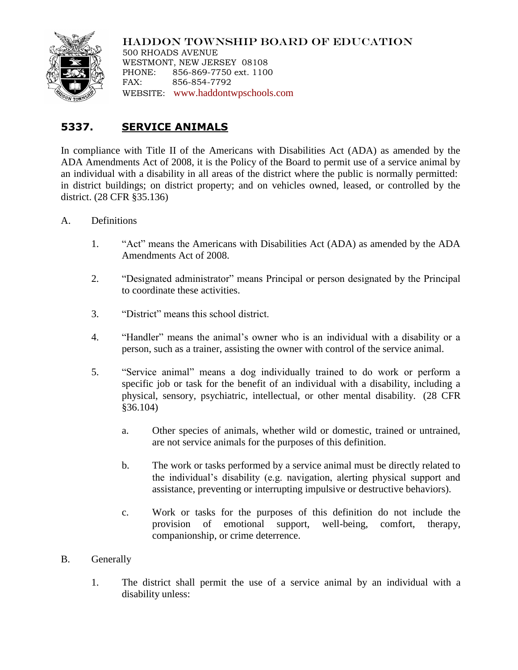

HADDON TOWNSHIP BOARD OF EDUCATION 500 RHOADS AVENUE WESTMONT, NEW JERSEY 08108 PHONE: 856-869-7750 ext. 1100 FAX: 856-854-7792 WEBSITE: [www.haddontwpschools.com](http://www.haddontwpschools.com/)

## **5337. SERVICE ANIMALS**

In compliance with Title II of the Americans with Disabilities Act (ADA) as amended by the ADA Amendments Act of 2008, it is the Policy of the Board to permit use of a service animal by an individual with a disability in all areas of the district where the public is normally permitted: in district buildings; on district property; and on vehicles owned, leased, or controlled by the district. (28 CFR §35.136)

- A. Definitions
	- 1. "Act" means the Americans with Disabilities Act (ADA) as amended by the ADA Amendments Act of 2008.
	- 2. "Designated administrator" means Principal or person designated by the Principal to coordinate these activities.
	- 3. "District" means this school district.
	- 4. "Handler" means the animal's owner who is an individual with a disability or a person, such as a trainer, assisting the owner with control of the service animal.
	- 5. "Service animal" means a dog individually trained to do work or perform a specific job or task for the benefit of an individual with a disability, including a physical, sensory, psychiatric, intellectual, or other mental disability. (28 CFR §36.104)
		- a. Other species of animals, whether wild or domestic, trained or untrained, are not service animals for the purposes of this definition.
		- b. The work or tasks performed by a service animal must be directly related to the individual's disability (e.g. navigation, alerting physical support and assistance, preventing or interrupting impulsive or destructive behaviors).
		- c. Work or tasks for the purposes of this definition do not include the provision of emotional support, well-being, comfort, therapy, companionship, or crime deterrence.

## B. Generally

1. The district shall permit the use of a service animal by an individual with a disability unless: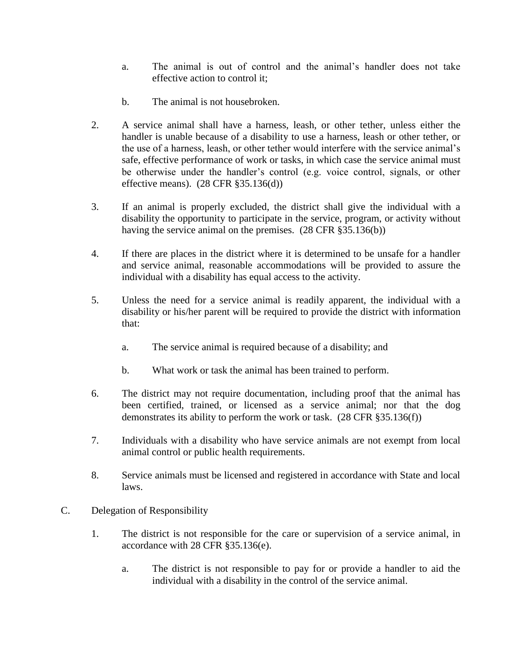- a. The animal is out of control and the animal's handler does not take effective action to control it;
- b. The animal is not housebroken.
- 2. A service animal shall have a harness, leash, or other tether, unless either the handler is unable because of a disability to use a harness, leash or other tether, or the use of a harness, leash, or other tether would interfere with the service animal's safe, effective performance of work or tasks, in which case the service animal must be otherwise under the handler's control (e.g. voice control, signals, or other effective means). (28 CFR §35.136(d))
- 3. If an animal is properly excluded, the district shall give the individual with a disability the opportunity to participate in the service, program, or activity without having the service animal on the premises. (28 CFR §35.136(b))
- 4. If there are places in the district where it is determined to be unsafe for a handler and service animal, reasonable accommodations will be provided to assure the individual with a disability has equal access to the activity.
- 5. Unless the need for a service animal is readily apparent, the individual with a disability or his/her parent will be required to provide the district with information that:
	- a. The service animal is required because of a disability; and
	- b. What work or task the animal has been trained to perform.
- 6. The district may not require documentation, including proof that the animal has been certified, trained, or licensed as a service animal; nor that the dog demonstrates its ability to perform the work or task. (28 CFR §35.136(f))
- 7. Individuals with a disability who have service animals are not exempt from local animal control or public health requirements.
- 8. Service animals must be licensed and registered in accordance with State and local laws.
- C. Delegation of Responsibility
	- 1. The district is not responsible for the care or supervision of a service animal, in accordance with 28 CFR §35.136(e).
		- a. The district is not responsible to pay for or provide a handler to aid the individual with a disability in the control of the service animal.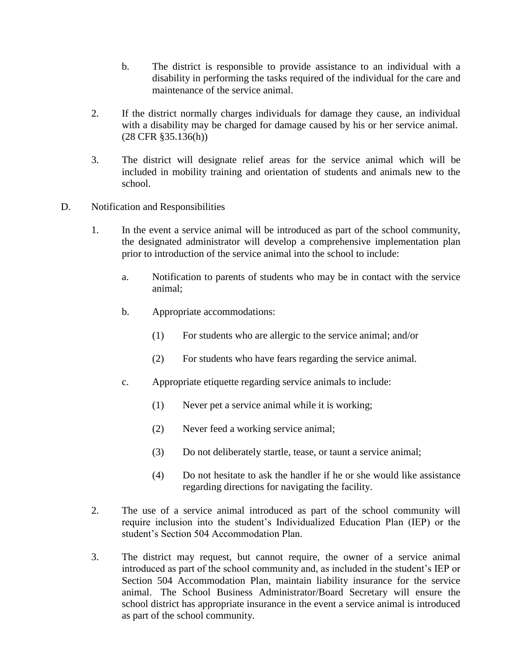- b. The district is responsible to provide assistance to an individual with a disability in performing the tasks required of the individual for the care and maintenance of the service animal.
- 2. If the district normally charges individuals for damage they cause, an individual with a disability may be charged for damage caused by his or her service animal. (28 CFR §35.136(h))
- 3. The district will designate relief areas for the service animal which will be included in mobility training and orientation of students and animals new to the school.
- D. Notification and Responsibilities
	- 1. In the event a service animal will be introduced as part of the school community, the designated administrator will develop a comprehensive implementation plan prior to introduction of the service animal into the school to include:
		- a. Notification to parents of students who may be in contact with the service animal;
		- b. Appropriate accommodations:
			- (1) For students who are allergic to the service animal; and/or
			- (2) For students who have fears regarding the service animal.
		- c. Appropriate etiquette regarding service animals to include:
			- (1) Never pet a service animal while it is working;
			- (2) Never feed a working service animal;
			- (3) Do not deliberately startle, tease, or taunt a service animal;
			- (4) Do not hesitate to ask the handler if he or she would like assistance regarding directions for navigating the facility.
	- 2. The use of a service animal introduced as part of the school community will require inclusion into the student's Individualized Education Plan (IEP) or the student's Section 504 Accommodation Plan.
	- 3. The district may request, but cannot require, the owner of a service animal introduced as part of the school community and, as included in the student's IEP or Section 504 Accommodation Plan, maintain liability insurance for the service animal. The School Business Administrator/Board Secretary will ensure the school district has appropriate insurance in the event a service animal is introduced as part of the school community.